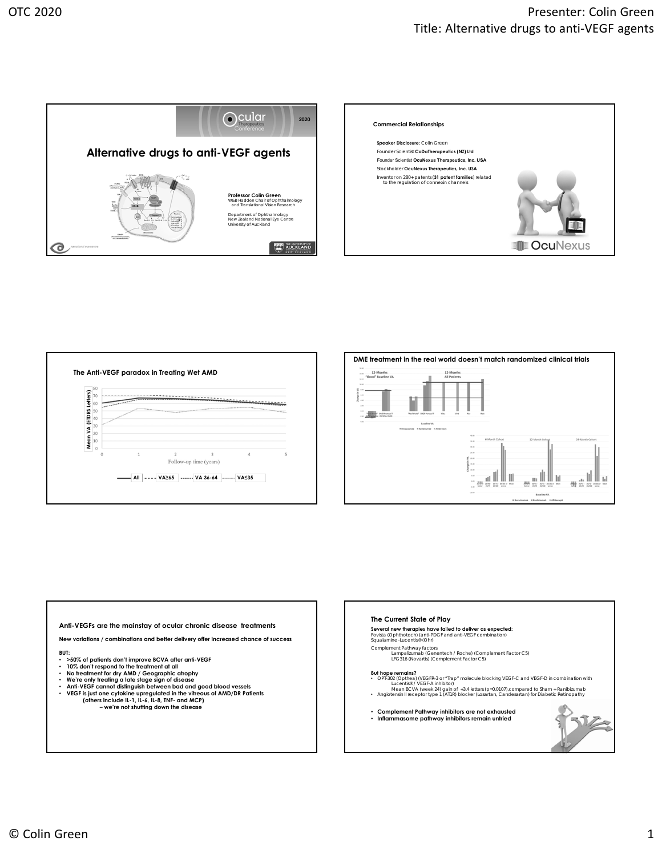









**New variations / combinations and better delivery offer increased chance of success**

- **BUT:**
- 
- **>50% of patients don't improve BCVA after anti-VEGF 10% don't respond to the treatment at all**
- **No treatment for dry AMD / Geographic atrophy We're only treating a late stage sign of disease**
- 
- **Anti-VEGF cannot distinguish between bad and good blood vessels VEGF is just one cytokine upregulated in the vitreous of AMD/DR Patients (others include IL-1, IL-6, IL-8, TNF- and MCP)** 
	- **we're not shutting down the disease**

## **The Current State of Play**

**Several new therapies have failed to deliver as expected:** Fovista (Ophthotech) (anti-PDGF and anti-VEGF combination) Squalamine -Lucentis® (Ohr)

Complement Pathway factors<br>Lampalizumab (Gen Lampalizumab (Genentech / Roche) (Complement Factor C5) LFG316 (Novartis) (Complement Factor C5)

## **But hope remains?**

- OPT-302 (Optheal) (VEGFR3 or "Irap" molecule blocking VEGF-C and VEGF-D in combination with<br>Mean BCVA (week 24) gain of +3.4 letters (p-0.0107),compared to Sham + Ranibizumab<br>• Angiotensin II receptor type 1 (AT1R) bloc
- **Complement Pathway inhibitors are not exhausted Inflammasome pathway inhibitors remain untried**